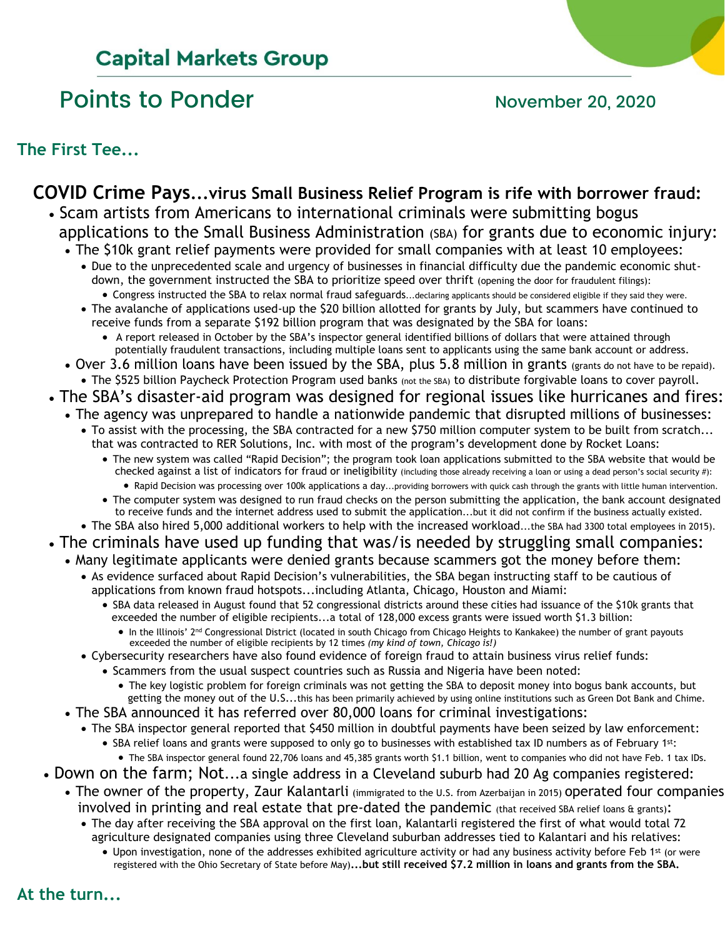# **Capital Markets Group**

# Points to Ponder November 20, 2020

**The First Tee...**

## **COVID Crime Pays...virus Small Business Relief Program is rife with borrower fraud:**

- Scam artists from Americans to international criminals were submitting bogus applications to the Small Business Administration (SBA) for grants due to economic injury:
	- The \$10k grant relief payments were provided for small companies with at least 10 employees: • Due to the unprecedented scale and urgency of businesses in financial difficulty due the pandemic economic shut down, the government instructed the SBA to prioritize speed over thrift (opening the door for fraudulent filings): • Congress instructed the SBA to relax normal fraud safeguards...declaring applicants should be considered eligible if they said they were.
		- The avalanche of applications used-up the \$20 billion allotted for grants by July, but scammers have continued to receive funds from a separate \$192 billion program that was designated by the SBA for loans:
			- A report released in October by the SBA's inspector general identified billions of dollars that were attained through potentially fraudulent transactions, including multiple loans sent to applicants using the same bank account or address.
	- Over 3.6 million loans have been issued by the SBA, plus 5.8 million in grants (grants do not have to be repaid).
	- The \$525 billion Paycheck Protection Program used banks (not the SBA) to distribute forgivable loans to cover payroll.
- The SBA's disaster-aid program was designed for regional issues like hurricanes and fires:
	- The agency was unprepared to handle a nationwide pandemic that disrupted millions of businesses:
		- To assist with the processing, the SBA contracted for a new \$750 million computer system to be built from scratch... that was contracted to RER Solutions, Inc. with most of the program's development done by Rocket Loans:
			- The new system was called "Rapid Decision"; the program took loan applications submitted to the SBA website that would be checked against a list of indicators for fraud or ineligibility (including those already receiving a loan or using a dead person's social security #):
				- Rapid Decision was processing over 100k applications a day...providing borrowers with quick cash through the grants with little human intervention.
			- The computer system was designed to run fraud checks on the person submitting the application, the bank account designated to receive funds and the internet address used to submit the application...but it did not confirm if the business actually existed.
	- The SBA also hired 5,000 additional workers to help with the increased workload...the SBA had 3300 total employees in 2015).
- The criminals have used up funding that was/is needed by struggling small companies:
	- Many legitimate applicants were denied grants because scammers got the money before them: • As evidence surfaced about Rapid Decision's vulnerabilities, the SBA began instructing staff to be cautious of applications from known fraud hotspots...including Atlanta, Chicago, Houston and Miami:
		- SBA data released in August found that 52 congressional districts around these cities had issuance of the \$10k grants that exceeded the number of eligible recipients...a total of 128,000 excess grants were issued worth \$1.3 billion:
			- In the Illinois' 2<sup>nd</sup> Congressional District (located in south Chicago from Chicago Heights to Kankakee) the number of grant payouts exceeded the number of eligible recipients by 12 times *(my kind of town, Chicago is!)*
		- Cybersecurity researchers have also found evidence of foreign fraud to attain business virus relief funds:
			- Scammers from the usual suspect countries such as Russia and Nigeria have been noted:
				- The key logistic problem for foreign criminals was not getting the SBA to deposit money into bogus bank accounts, but getting the money out of the U.S...this has been primarily achieved by using online institutions such as Green Dot Bank and Chime.
	- The SBA announced it has referred over 80,000 loans for criminal investigations:
		- The SBA inspector general reported that \$450 million in doubtful payments have been seized by law enforcement:
			- SBA relief loans and grants were supposed to only go to businesses with established tax ID numbers as of February 1st: • The SBA inspector general found 22,706 loans and 45,385 grants worth \$1.1 billion, went to companies who did not have Feb. 1 tax IDs.
- Down on the farm; Not...a single address in a Cleveland suburb had 20 Ag companies registered:
	- The owner of the property, Zaur Kalantarli (immigrated to the U.S. from Azerbaijan in 2015) operated four companies involved in printing and real estate that pre-dated the pandemic (that received SBA relief loans & grants):
		- The day after receiving the SBA approval on the first loan, Kalantarli registered the first of what would total 72 agriculture designated companies using three Cleveland suburban addresses tied to Kalantari and his relatives:
			- Upon investigation, none of the addresses exhibited agriculture activity or had any business activity before Feb 1st (or were registered with the Ohio Secretary of State before May)**...but still received \$7.2 million in loans and grants from the SBA.**